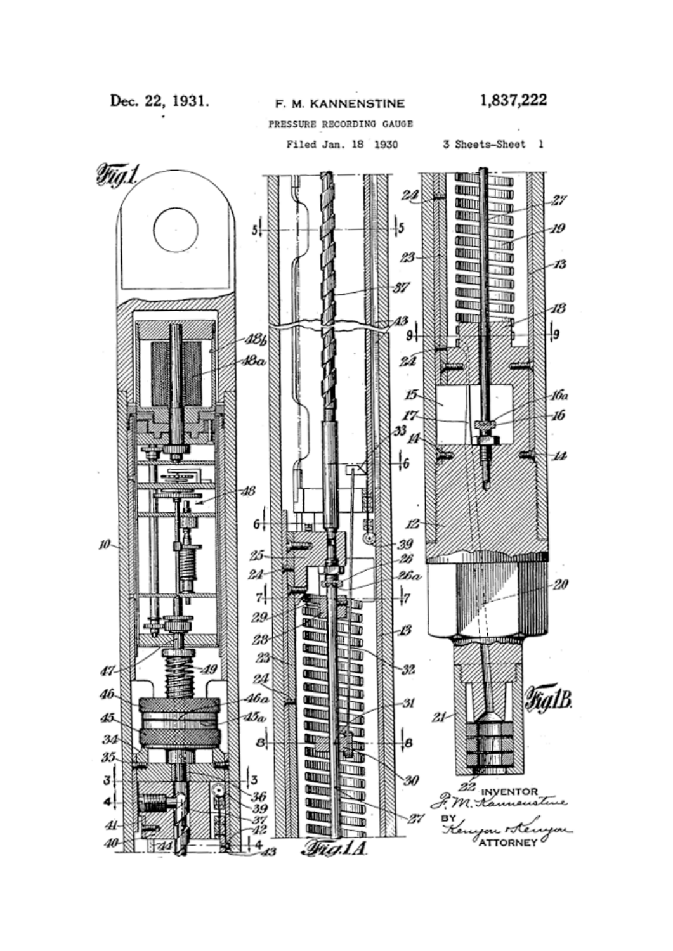Dec. 22, 1931.

F. M. KANNENSTINE

PRESSURE RECORDING GAUGE

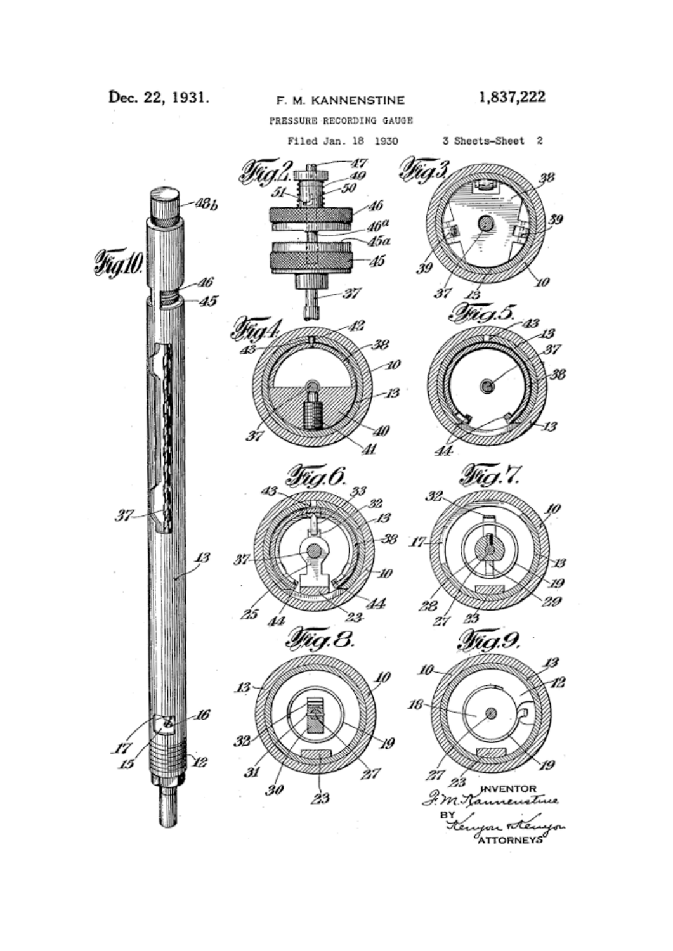PRESSURE RECORDING GAUGE

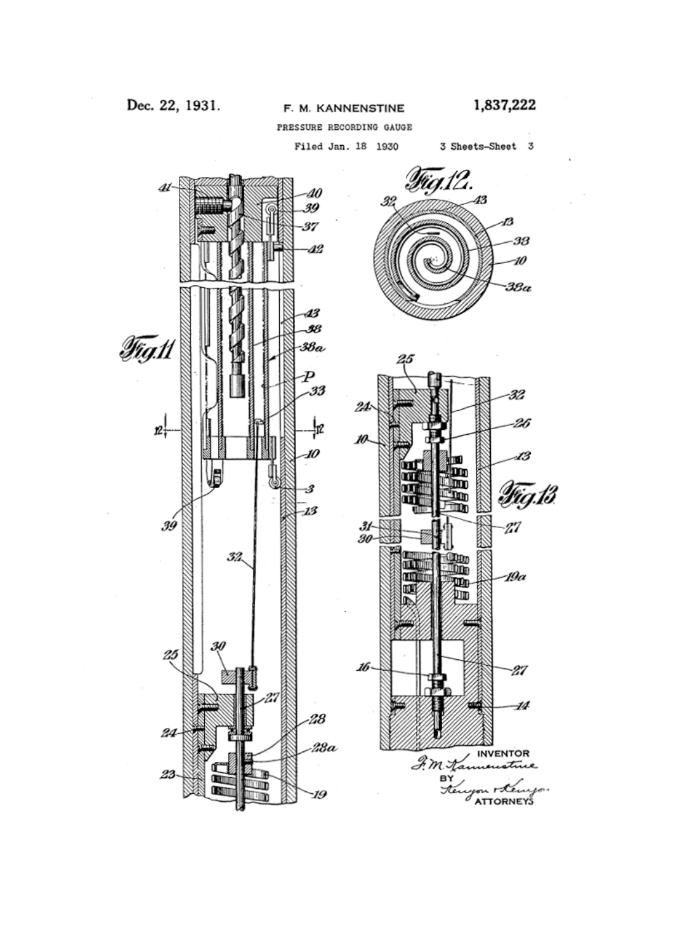Dec. 22, 1931.

## F. M. KANNENSTINE

PRESSURE RECORDING GAUGE



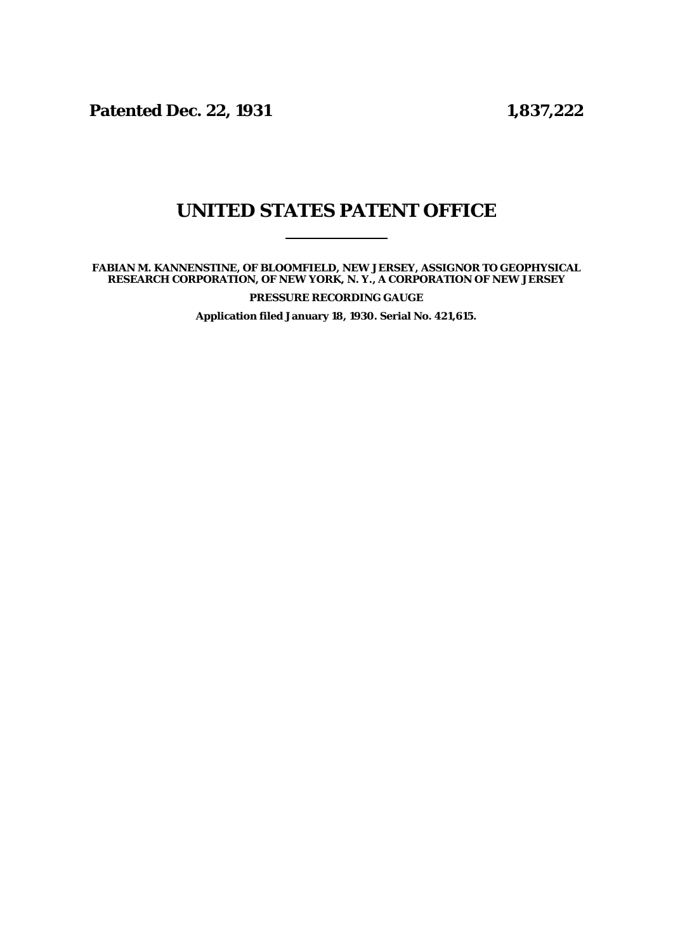**Patented Dec. 22, 1931 1,837,222**

## **UNITED STATES PATENT OFFICE**

**FABIAN M. KANNENSTINE, OF BLOOMFIELD, NEW JERSEY, ASSIGNOR TO GEOPHYSICAL RESEARCH CORPORATION, OF NEW YORK, N. Y., A CORPORATION OF NEW JERSEY**

**PRESSURE RECORDING GAUGE**

**Application filed January 18, 1930. Serial No. 421,615.**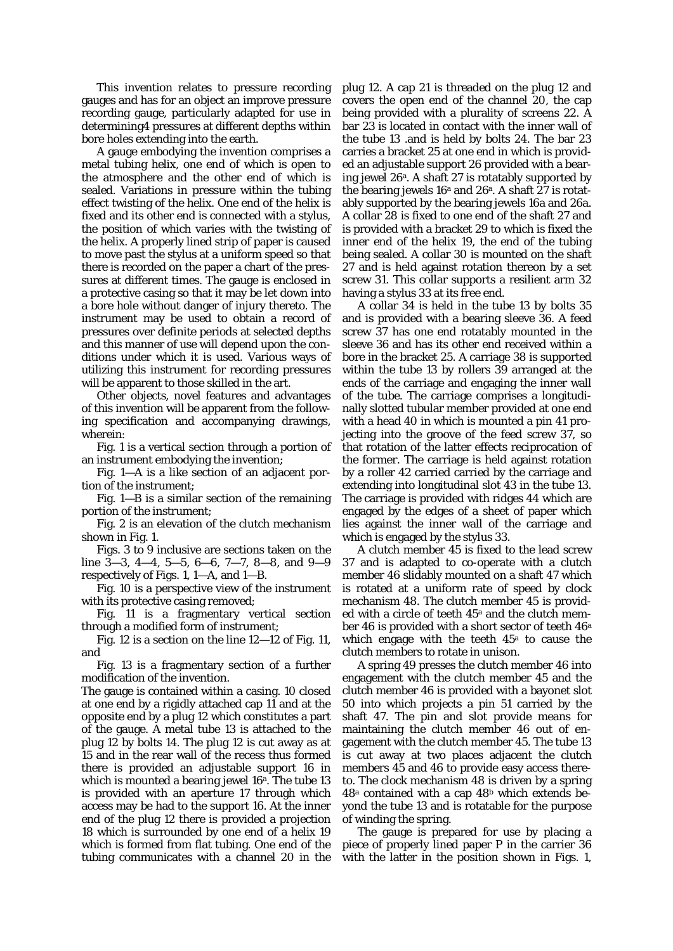This invention relates to pressure recording gauges and has for an object an improve pressure recording gauge, particularly adapted for use in determining4 pressures at different depths within bore holes extending into the earth.

A gauge embodying the invention comprises a metal tubing helix, one end of which is open to the atmosphere and the other end of which is sealed. Variations in pressure within the tubing effect twisting of the helix. One end of the helix is fixed and its other end is connected with a stylus, the position of which varies with the twisting of the helix. A properly lined strip of paper is caused to move past the stylus at a uniform speed so that there is recorded on the paper a chart of the pressures at different times. The gauge is enclosed in a protective casing so that it may be let down into a bore hole without danger of injury thereto. The instrument may be used to obtain a record of pressures over definite periods at selected depths and this manner of use will depend upon the conditions under which it is used. Various ways of utilizing this instrument for recording pressures will be apparent to those skilled in the art.

Other objects, novel features and advantages of this invention will be apparent from the following specification and accompanying drawings, wherein:

Fig. 1 is a vertical section through a portion of an instrument embodying the invention;

Fig. 1—A is a like section of an adjacent portion of the instrument;

Fig. 1—B is a similar section of the remaining portion of the instrument;

Fig. 2 is an elevation of the clutch mechanism shown in Fig. 1.

Figs. 3 to 9 inclusive are sections taken on the line  $3-3$ ,  $4-4$ ,  $5-5$ ,  $6-6$ ,  $7-7$ ,  $8-8$ , and  $9-9$ respectively of Figs. 1, 1—A, and 1—B.

Fig. 10 is a perspective view of the instrument with its protective casing removed;

Fig. 11 is a fragmentary vertical section through a modified form of instrument;

Fig. 12 is a section on the line 12—12 of Fig. 11, and

Fig. 13 is a fragmentary section of a further modification of the invention.

The gauge is contained within a casing. 10 closed at one end by a rigidly attached cap 11 and at the opposite end by a plug 12 which constitutes a part of the gauge. A metal tube 13 is attached to the plug 12 by bolts 14. The plug 12 is cut away as at 15 and in the rear wall of the recess thus formed there is provided an adjustable support 16 in which is mounted a bearing jewel  $16<sup>a</sup>$ . The tube 13 is provided with an aperture 17 through which access may be had to the support 16. At the inner end of the plug 12 there is provided a projection 18 which is surrounded by one end of a helix 19 which is formed from flat tubing. One end of the tubing communicates with a channel 20 in the plug 12. A cap 21 is threaded on the plug 12 and covers the open end of the channel 20, the cap being provided with a plurality of screens 22. A bar 23 is located in contact with the inner wall of the tube 13 .and is held by bolts 24. The bar 23 carries a bracket 25 at one end in which is provided an adjustable support 26 provided with a bearing jewel 26a. A shaft 27 is rotatably supported by the bearing jewels  $16^a$  and  $26^a$ . A shaft  $27$  is rotatably supported by the bearing jewels 16a and 26a. A collar 28 is fixed to one end of the shaft 27 and is provided with a bracket 29 to which is fixed the inner end of the helix 19, the end of the tubing being sealed. A collar 30 is mounted on the shaft 27 and is held against rotation thereon by a set screw 31. This collar supports a resilient arm 32 having a stylus 33 at its free end.

A collar 34 is held in the tube 13 by bolts 35 and is provided with a bearing sleeve 36. A feed screw 37 has one end rotatably mounted in the sleeve 36 and has its other end received within a bore in the bracket 25. A carriage 38 is supported within the tube 13 by rollers 39 arranged at the ends of the carriage and engaging the inner wall of the tube. The carriage comprises a longitudinally slotted tubular member provided at one end with a head 40 in which is mounted a pin 41 projecting into the groove of the feed screw 37, so that rotation of the latter effects reciprocation of the former. The carriage is held against rotation by a roller 42 carried carried by the carriage and extending into longitudinal slot 43 in the tube 13. The carriage is provided with ridges 44 which are engaged by the edges of a sheet of paper which lies against the inner wall of the carriage and which is engaged by the stylus 33.

A clutch member 45 is fixed to the lead screw 37 and is adapted to co-operate with a clutch member 46 slidably mounted on a shaft 47 which is rotated at a uniform rate of speed by clock mechanism 48. The clutch member 45 is provided with a circle of teeth 45<sup>a</sup> and the clutch member 46 is provided with a short sector of teeth 46a which engage with the teeth  $45<sup>a</sup>$  to cause the clutch members to rotate in unison.

A spring 49 presses the clutch member 46 into engagement with the clutch member 45 and the clutch member 46 is provided with a bayonet slot 50 into which projects a pin 51 carried by the shaft 47. The pin and slot provide means for maintaining the clutch member 46 out of engagement with the clutch member 45. The tube 13 is cut away at two places adjacent the clutch members 45 and 46 to provide easy access thereto. The clock mechanism 48 is driven by a spring  $48<sup>a</sup>$  contained with a cap  $48<sup>b</sup>$  which extends beyond the tube 13 and is rotatable for the purpose of winding the spring.

The gauge is prepared for use by placing a piece of properly lined paper P in the carrier 36 with the latter in the position shown in Figs. 1,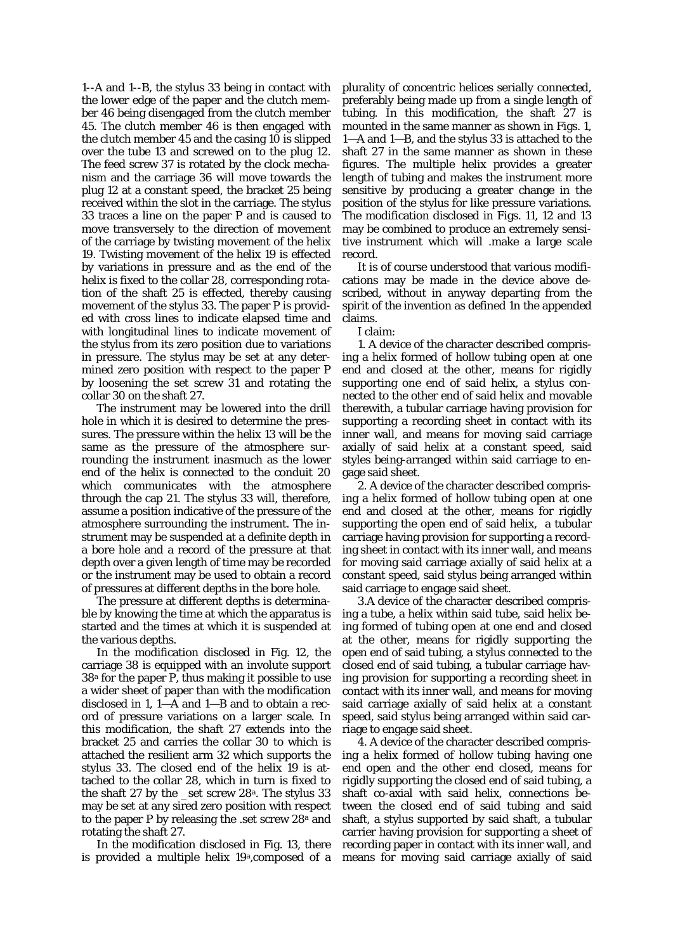1--A and 1--B, the stylus 33 being in contact with the lower edge of the paper and the clutch member 46 being disengaged from the clutch member 45. The clutch member 46 is then engaged with the clutch member 45 and the casing 10 is slipped over the tube 13 and screwed on to the plug 12. The feed screw 37 is rotated by the clock mechanism and the carriage 36 will move towards the plug 12 at a constant speed, the bracket 25 being received within the slot in the carriage. The stylus 33 traces a line on the paper P and is caused to move transversely to the direction of movement of the carriage by twisting movement of the helix 19. Twisting movement of the helix 19 is effected by variations in pressure and as the end of the helix is fixed to the collar 28, corresponding rotation of the shaft 25 is effected, thereby causing movement of the stylus 33. The paper P is provided with cross lines to indicate elapsed time and with longitudinal lines to indicate movement of the stylus from its zero position due to variations in pressure. The stylus may be set at any determined zero position with respect to the paper P by loosening the set screw 31 and rotating the collar 30 on the shaft 27.

The instrument may be lowered into the drill hole in which it is desired to determine the pressures. The pressure within the helix 13 will be the same as the pressure of the atmosphere surrounding the instrument inasmuch as the lower end of the helix is connected to the conduit 20 which communicates with the atmosphere through the cap 21. The stylus 33 will, therefore, assume a position indicative of the pressure of the atmosphere surrounding the instrument. The instrument may be suspended at a definite depth in a bore hole and a record of the pressure at that depth over a given length of time may be recorded or the instrument may be used to obtain a record of pressures at different depths in the bore hole.

The pressure at different depths is determinable by knowing the time at which the apparatus is started and the times at which it is suspended at the various depths.

In the modification disclosed in Fig. 12, the carriage 38 is equipped with an involute support 38a for the paper P, thus making it possible to use a wider sheet of paper than with the modification disclosed in 1, 1—A and 1—B and to obtain a record of pressure variations on a larger scale. In this modification, the shaft 27 extends into the bracket 25 and carries the collar 30 to which is attached the resilient arm 32 which supports the stylus 33. The closed end of the helix 19 is attached to the collar 28, which in turn is fixed to the shaft 27 by the \_set screw 28a. The stylus 33 may be set at any sired zero position with respect to the paper P by releasing the .set screw 28<sup>a</sup> and rotating the shaft 27.

In the modification disclosed in Fig. 13, there is provided a multiple helix 19a,composed of a plurality of concentric helices serially connected, preferably being made up from a single length of tubing. In this modification, the shaft 27 is mounted in the same manner as shown in Figs. 1, 1—A and 1—B, and the stylus 33 is attached to the shaft 27 in the same manner as shown in these figures. The multiple helix provides a greater length of tubing and makes the instrument more sensitive by producing a greater change in the position of the stylus for like pressure variations. The modification disclosed in Figs. 11, 12 and 13 may be combined to produce an extremely sensitive instrument which will .make a large scale record.

It is of course understood that various modifications may be made in the device above described, without in anyway departing from the spirit of the invention as defined 1n the appended claims.

I claim:

1. A device of the character described comprising a helix formed of hollow tubing open at one end and closed at the other, means for rigidly supporting one end of said helix, a stylus connected to the other end of said helix and movable therewith, a tubular carriage having provision for supporting a recording sheet in contact with its inner wall, and means for moving said carriage axially of said helix at a constant speed, said styles being-arranged within said carriage to engage said sheet.

2. A device of the character described comprising a helix formed of hollow tubing open at one end and closed at the other, means for rigidly supporting the open end of said helix, a tubular carriage having provision for supporting a recording sheet in contact with its inner wall, and means for moving said carriage axially of said helix at a constant speed, said stylus being arranged within said carriage to engage said sheet.

3.A device of the character described comprising a tube, a helix within said tube, said helix being formed of tubing open at one end and closed at the other, means for rigidly supporting the open end of said tubing, a stylus connected to the closed end of said tubing, a tubular carriage having provision for supporting a recording sheet in contact with its inner wall, and means for moving said carriage axially of said helix at a constant speed, said stylus being arranged within said carriage to engage said sheet.

4. A device of the character described comprising a helix formed of hollow tubing having one end open and the other end closed, means for rigidly supporting the closed end of said tubing, a shaft co-axial with said helix, connections between the closed end of said tubing and said shaft, a stylus supported by said shaft, a tubular carrier having provision for supporting a sheet of recording paper in contact with its inner wall, and means for moving said carriage axially of said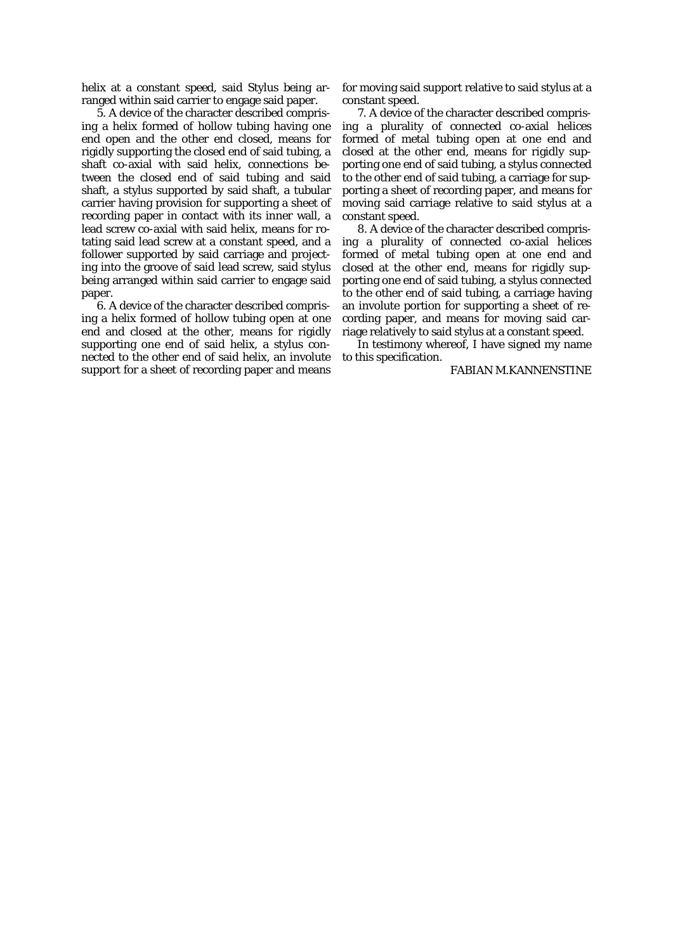helix at a constant speed, said Stylus being arranged within said carrier to engage said paper.

5. A device of the character described comprising a helix formed of hollow tubing having one end open and the other end closed, means for rigidly supporting the closed end of said tubing, a shaft co-axial with said helix, connections between the closed end of said tubing and said shaft, a stylus supported by said shaft, a tubular carrier having provision for supporting a sheet of recording paper in contact with its inner wall, a lead screw co-axial with said helix, means for rotating said lead screw at a constant speed, and a follower supported by said carriage and projecting into the groove of said lead screw, said stylus being arranged within said carrier to engage said paper.

6. A device of the character described comprising a helix formed of hollow tubing open at one end and closed at the other, means for rigidly supporting one end of said helix, a stylus connected to the other end of said helix, an involute support for a sheet of recording paper and means

for moving said support relative to said stylus at a constant speed.

7. A device of the character described comprising a plurality of connected co-axial helices formed of metal tubing open at one end and closed at the other end, means for rigidly supporting one end of said tubing, a stylus connected to the other end of said tubing, a carriage for supporting a sheet of recording paper, and means for moving said carriage relative to said stylus at a constant speed.

8. A device of the character described comprising a plurality of connected co-axial helices formed of metal tubing open at one end and closed at the other end, means for rigidly supporting one end of said tubing, a stylus connected to the other end of said tubing, a carriage having an involute portion for supporting a sheet of recording paper, and means for moving said carriage relatively to said stylus at a constant speed.

In testimony whereof, I have signed my name to this specification.

FABIAN M.KANNENSTINE